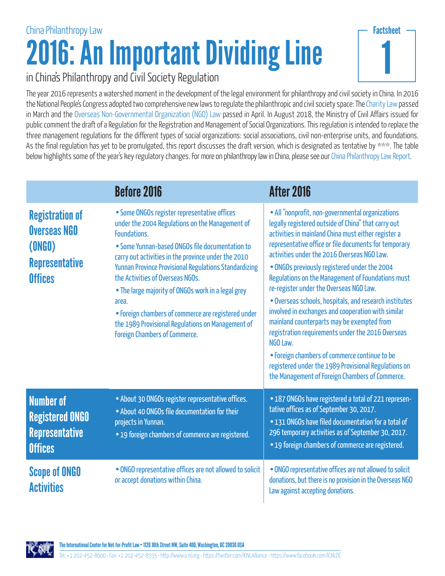## 2016: An Important Dividing Line China Philanthropy Law



## in China's Philanthropy and Civil Society Regulation

The year 2016 represents a watershed moment in the development of the legal environment for philanthropy and civil society in China. In 2016 the National People's Congress adopted two comprehensive new laws to regulate the philanthropic and civil society space: The [Charity Law](http://chinadevelopmentbrief.cn/wp-content/uploads/2016/04/Charity-Law-CDB-Translation.pdf) passed in March and the [Overseas Non-Governmental Organization \(NGO\) Law](http://www.mps.gov.cn/n2254314/n2254409/n4904353/c5548987/content.html) passed in April. In August 2018, the Ministry of Civil Affairs issued for public comment the draft of a Regulation for the Registration and Management of Social Organizations. This regulation is intended to replace the three management regulations for the different types of social organizations: social associations, civil non-enterprise units, and foundations. As the final regulation has yet to be promulgated, this report discusses the draft version, which is designated as tentative by \*\*\*. The table below highlights some of the year's key regulatory changes. For more on philanthropy law in China, please see our [China Philanthropy Law Report.](http://www.icnl.org/research/Philanthropy/China.html)

|                                                                                                    | <b>Before 2016</b>                                                                                                                                                                                                                                                                                                                                                                                                                                                                                                                        | After 2016                                                                                                                                                                                                                                                                                                                                                                                                                                                                                                                                                                                                                                                                                                                                                                                                        |
|----------------------------------------------------------------------------------------------------|-------------------------------------------------------------------------------------------------------------------------------------------------------------------------------------------------------------------------------------------------------------------------------------------------------------------------------------------------------------------------------------------------------------------------------------------------------------------------------------------------------------------------------------------|-------------------------------------------------------------------------------------------------------------------------------------------------------------------------------------------------------------------------------------------------------------------------------------------------------------------------------------------------------------------------------------------------------------------------------------------------------------------------------------------------------------------------------------------------------------------------------------------------------------------------------------------------------------------------------------------------------------------------------------------------------------------------------------------------------------------|
| <b>Registration of</b><br><b>Overseas NGO</b><br>(ONGO)<br><b>Representative</b><br><b>Offices</b> | • Some ONGOs register representative offices<br>under the 2004 Regulations on the Management of<br>Foundations.<br>• Some Yunnan-based ONGOs file documentation to<br>carry out activities in the province under the 2010<br><b>Yunnan Province Provisional Regulations Standardizing</b><br>the Activities of Overseas NGOs.<br>• The large majority of ONGOs work in a legal grey<br>area.<br>• Foreign chambers of commerce are registered under<br>the 1989 Provisional Regulations on Management of<br>Foreign Chambers of Commerce. | • All "nonprofit, non-governmental organizations<br>legally registered outside of China" that carry out<br>activities in mainland China must either register a<br>representative office or file documents for temporary<br>activities under the 2016 Overseas NGO Law.<br>• ONGOs previously registered under the 2004<br>Regulations on the Management of Foundations must<br>re-register under the Overseas NGO Law.<br>. Overseas schools, hospitals, and research institutes<br>involved in exchanges and cooperation with similar<br>mainland counterparts may be exempted from<br>registration requirements under the 2016 Overseas<br>NGO Law.<br>• Foreign chambers of commerce continue to be<br>registered under the 1989 Provisional Regulations on<br>the Management of Foreign Chambers of Commerce. |
| <b>Number of</b><br><b>Registered ONGO</b><br><b>Representative</b><br><b>Offices</b>              | • About 30 ONGOs register representative offices.<br>• About 40 ONGOs file documentation for their<br>projects in Yunnan.<br>• 19 foreign chambers of commerce are registered.                                                                                                                                                                                                                                                                                                                                                            | • 187 ONGOs have registered a total of 221 represen-<br>tative offices as of September 30, 2017.<br>. 131 ONGOs have filed documentation for a total of<br>296 temporary activities as of September 30, 2017.<br>• 19 foreign chambers of commerce are registered.                                                                                                                                                                                                                                                                                                                                                                                                                                                                                                                                                |
| <b>Scope of ONGO</b><br><b>Activities</b>                                                          | • ONGO representative offices are not allowed to solicit<br>or accept donations within China.                                                                                                                                                                                                                                                                                                                                                                                                                                             | • ONGO representative offices are not allowed to solicit<br>donations, but there is no provision in the Overseas NGO<br>Law against accepting donations.                                                                                                                                                                                                                                                                                                                                                                                                                                                                                                                                                                                                                                                          |